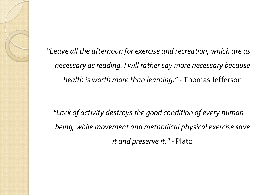*"Leave all the afternoon for exercise and recreation, which are as necessary as reading. I will rather say more necessary because health is worth more than learning." -* Thomas Jefferson

*"Lack of activity destroys the good condition of every human being, while movement and methodical physical exercise save it and preserve it." -* Plato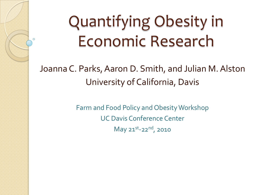# Quantifying Obesity in Economic Research

 $\circ$ 

Joanna C. Parks, Aaron D. Smith, and Julian M. Alston University of California, Davis

> Farm and Food Policy and Obesity Workshop UC Davis Conference Center May 21st-22<sup>nd</sup>, 2010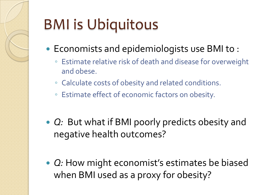# BMI is Ubiquitous

- Economists and epidemiologists use BMI to :
	- Estimate relative risk of death and disease for overweight and obese.
	- Calculate costs of obesity and related conditions.
	- Estimate effect of economic factors on obesity.
- *Q:* But what if BMI poorly predicts obesity and negative health outcomes?
- *Q:* How might economist's estimates be biased when BMI used as a proxy for obesity?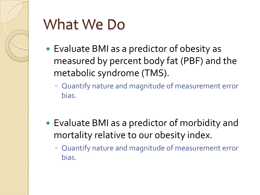

## What We Do

- Evaluate BMI as a predictor of obesity as measured by percent body fat (PBF) and the metabolic syndrome (TMS).
	- Quantify nature and magnitude of measurement error bias.
- Evaluate BMI as a predictor of morbidity and mortality relative to our obesity index.
	- Quantify nature and magnitude of measurement error bias.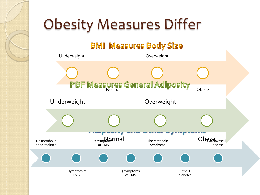# Obesity Measures Differ

### **BMI Measures Body Size**

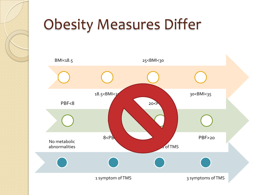

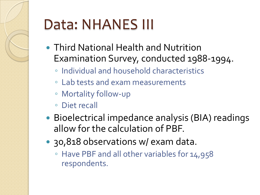# Data: NHANES III

- Third National Health and Nutrition Examination Survey, conducted 1988-1994.
	- Individual and household characteristics
	- Lab tests and exam measurements
	- Mortality follow-up
	- Diet recall
- Bioelectrical impedance analysis (BIA) readings allow for the calculation of PBF.
- 30,818 observations w/ exam data.
	- Have PBF and all other variables for 14,958 respondents.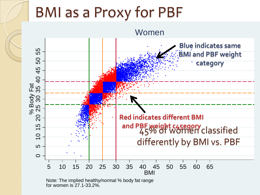## BMI as a Proxy for PBF



Note: The implied healthy/normal % body fat range for women is 27.1-33.2%.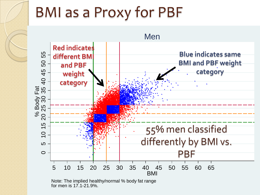# BMI as a Proxy for PBF



Note: The implied healthy/normal % body fat range for men is 17.1-21.9%.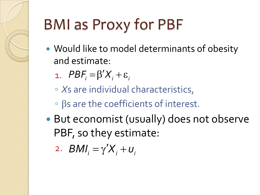# BMI as Proxy for PBF

- Would like to model determinants of obesity and estimate:
	- 1.  $PBF_i = \beta'X_i + \varepsilon_i$
	- *X*s are individual characteristics,
	- βs are the coefficients of interest.
- But economist (usually) does not observe PBF, so they estimate:

$$
2. \quad BMI_i = \gamma' X_i + U_i
$$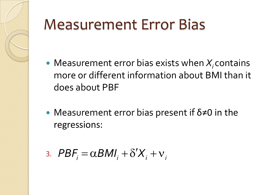# Measurement Error Bias

- $\bullet$  Measurement error bias exists when  $X_i$  contains more or different information about BMI than it does about PBF
- Measurement error bias present if  $\delta \neq 0$  in the regressions:
- 3.  $PBF_i = \alpha BMI_i + \delta'X_i + v_i$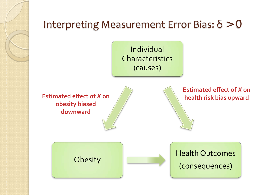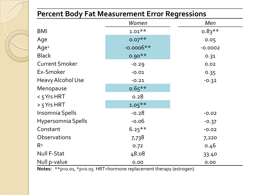### **Percent Body Fat Measurement Error Regressions**

|                          | Women                    | Men       |  |
|--------------------------|--------------------------|-----------|--|
| <b>BMI</b>               | $1.01***$                | $0.83***$ |  |
| Age                      | $0.07**$                 | 0.05      |  |
| Age <sup>2</sup>         | $-0.0006**$<br>$-0.0002$ |           |  |
| <b>Black</b>             | $0.90**$                 | 0.31      |  |
| <b>Current Smoker</b>    | $-0.29$                  | 0.02      |  |
| Ex-Smoker                | $-0.01$                  | 0.35      |  |
| <b>Heavy Alcohol Use</b> | $-0.21$                  | $-0.32$   |  |
| Menopause                | $0.65***$                |           |  |
| $<$ 5 Yrs HRT            | 0.28                     |           |  |
| $> 5$ Yrs HRT            | $1.05***$                |           |  |
| Insomnia Spells          | $-0.28$                  | $-0.02$   |  |
| Hypersomnia Spells       | $-0.06$<br>$-0.37$       |           |  |
| Constant                 | $6.25***$                | $-0.02$   |  |
| Observations             | 7,738                    | 7,220     |  |
| R <sup>2</sup>           | 0.72                     | 0.46      |  |
| Null F-Stat              | 48.08                    | 33.40     |  |
| Null p-value             | 0.00                     | 0.00      |  |

Notes: \*\*p<0.01, \*p<0.05. HRT=hormone replacement therapy (estrogen).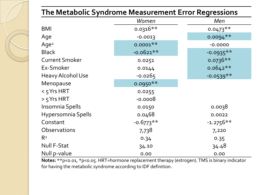| The Metabolic Syndrome Measurement Error Regressions |             |             |  |  |  |
|------------------------------------------------------|-------------|-------------|--|--|--|
|                                                      | Women       | Men         |  |  |  |
| <b>BMI</b>                                           | $0.0316**$  | $0.0473**$  |  |  |  |
| Age                                                  | $-0.0013$   | $0.0094**$  |  |  |  |
| Age <sup>2</sup>                                     | $0.0001**$  | $-0.0000$   |  |  |  |
| <b>Black</b>                                         | $-0.0621**$ | $-0.0935**$ |  |  |  |
| <b>Current Smoker</b>                                | 0.0251      | $0.0736**$  |  |  |  |
| Ex-Smoker                                            | 0.0144      | $0.0642**$  |  |  |  |
| <b>Heavy Alcohol Use</b>                             | $-0.0265$   | $-0.0539**$ |  |  |  |
| Menopause                                            | $0.0950**$  |             |  |  |  |
| $<$ 5 Yrs HRT                                        | 0.0255      |             |  |  |  |
| $> 5$ Yrs HRT                                        | $-0.0008$   |             |  |  |  |
| Insomnia Spells                                      | 0.0150      | 0.0038      |  |  |  |
| Hypersomnia Spells                                   | 0.0468      | 0.0022      |  |  |  |
| Constant                                             | $-0.6773**$ | $-1.2756**$ |  |  |  |
| Observations                                         | 7,738       | 7,220       |  |  |  |
| R <sup>2</sup>                                       | 0.34        | 0.35        |  |  |  |
| Null F-Stat                                          | 34.10       | 34.48       |  |  |  |
| Null p-value                                         | 0.00        | 0.00        |  |  |  |

**Notes:** \*\*p<0.01, \*p<0.05. HRT=hormone replacement therapy (estrogen). TMS is binary indicator for having the metabolic syndrome according to IDF definition.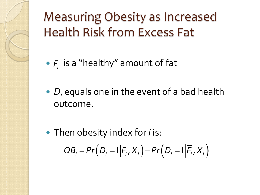Measuring Obesity as Increased Health Risk from Excess Fat

- $\cdot$   $\overline{F}_i$  is a "healthy" amount of fat
- *D<sub>i</sub>* equals one in the event of a bad health outcome.
- Then obesity index for *i* is:  $OB_i = Pr(D_i = 1 | F_i, X_i) - Pr(D_i = 1 | \overline{F_i}, X_i)$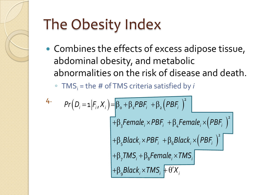

# The Obesity Index

• Combines the effects of excess adipose tissue, abdominal obesity, and metabolic abnormalities on the risk of disease and death.

◦ TMSi = the # of TMS criteria satisfied by *i*

4. 
$$
Pr(D_{i} = 1 | F_{i}, X_{i}) = \beta_{0} + \beta_{1} PBF_{i} + \beta_{2} (PBF_{i})^{2}
$$
  
+ 
$$
\beta_{3} Female_{i} \times PBF_{i} + \beta_{4} Female_{i} \times (PBF_{i})^{2}
$$
  
+ 
$$
\beta_{5} Black_{i} \times PBF_{i} + \beta_{6} Black_{i} \times (PBF_{i})^{2}
$$
  
+ 
$$
\beta_{7} TMS_{i} + \beta_{8} Female_{i} \times TMS_{i}
$$
  
+ 
$$
\beta_{9} Black_{i} \times TMS_{i} + \theta'X_{i}
$$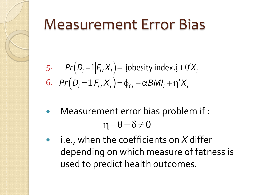# Measurement Error Bias

5. 
$$
Pr(D_i = 1 | F_i, X_i) = \{ \text{obesity index}_i \} + \theta' X_i
$$
  
6.  $Pr(D_i = 1 | F_i, X_i) = \phi_{0i} + \alpha BMI_i + \eta' X_i$ 

- Measurement error bias problem if :  $\eta-\theta=\delta\neq 0$
- i.e., when the coefficients on *X* differ depending on which measure of fatness is used to predict health outcomes.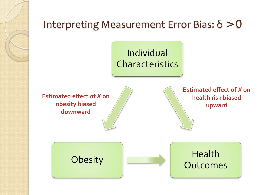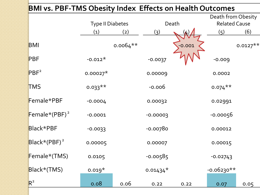## **BMI vs. PBF-TMS Obesity Index Effects on Health Outcomes** Type II Diabetes Death Death from Obesity Related Cause (1) (2) (3) (4) (5) (6)  $BMI$  0.0064\*\*  $\bigcup_{0.0064}$  0.000  $\bigcup_{0.0127}$  0.0127\*\*  $\mathsf{PBF}$  -0.012\* -0.0037  $\mathsf{V}\mathsf{V}\mathsf{V}$  -0.009  $\mathsf{PBF}^2$  0.00027\* 0.00009 0.0002  $TMS$  0.033\*\* -0.006 0.074\*\* Female\*PBF -0.0004 0.00032 0.02991 Female\*(PBF)  $^{2}$  -0.0001 -0.00003 -0.000056 Black\*PBF -0.0033 -0.00780 -0.00012 Black\*(PBF) 2 0.00005 0.00007 0.00015  $Female*(TMS)$  0.0105 -0.00585 -0.00743  $Black*(TMS)$  0.019\* 0.01434\* -0.06230\*\*  $R^2$  0.08 0.06 0.22 0.22 0.07 0.05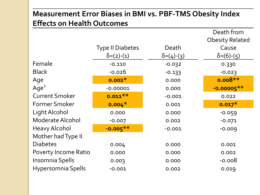### **Measurement Error Biases in BMI vs. PBF-TMS Obesity Index Effects on Health Outcomes**

|                             |                         |                   | Death from             |
|-----------------------------|-------------------------|-------------------|------------------------|
|                             |                         |                   | <b>Obesity Related</b> |
|                             | <b>Type II Diabetes</b> | Death             | Cause                  |
|                             | $\delta$ =(2)-(1)       | $\delta$ =(4)-(3) | $\delta = (6)-(5)$     |
| Female                      | $-0.110$                | $-0.032$          | 0.330                  |
| <b>Black</b>                | $-0.026$                | $-0.133$          | $-0.023$               |
| Age                         | $0.002*$                | 0.000             | $0.008**$              |
| Age <sup>2</sup>            | $-0.00001$              | 0.000             | $-0.00005**$           |
| <b>Current Smoker</b>       | $0.011**$               | $-0.001$          | 0.022                  |
| <b>Former Smoker</b>        | $0.004*$                | 0.001             | $0.017*$               |
| Light Alcohol               | 0.000                   | 0.000             | $-0.059$               |
| Moderate Alcohol            | $-0.007$                | 0.002             | $-0.071$               |
| <b>Heavy Alcohol</b>        | $-0.005**$              | $-0.001$          | $-0.009$               |
| Mother had Type II          |                         |                   |                        |
| <b>Diabetes</b>             | 0.004                   | 0.000             | 0.001                  |
| <b>Poverty Income Ratio</b> | 0.000                   | 0.000             | 0.002                  |
| Insomnia Spells             | 0.003                   | 0.000             | $-0.008$               |
| Hypersomnia Spells          | $-0.001$                | 0.002             | 0.019                  |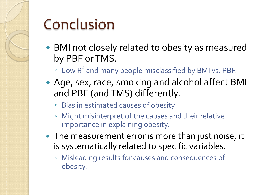# Conclusion

- BMI not closely related to obesity as measured by PBF or TMS.
	- Low R2 and many people misclassified by BMI vs. PBF.
- Age, sex, race, smoking and alcohol affect BMI and PBF (and TMS) differently.
	- Bias in estimated causes of obesity
	- Might misinterpret of the causes and their relative importance in explaining obesity.
- The measurement error is more than just noise, it is systematically related to specific variables.
	- Misleading results for causes and consequences of obesity.